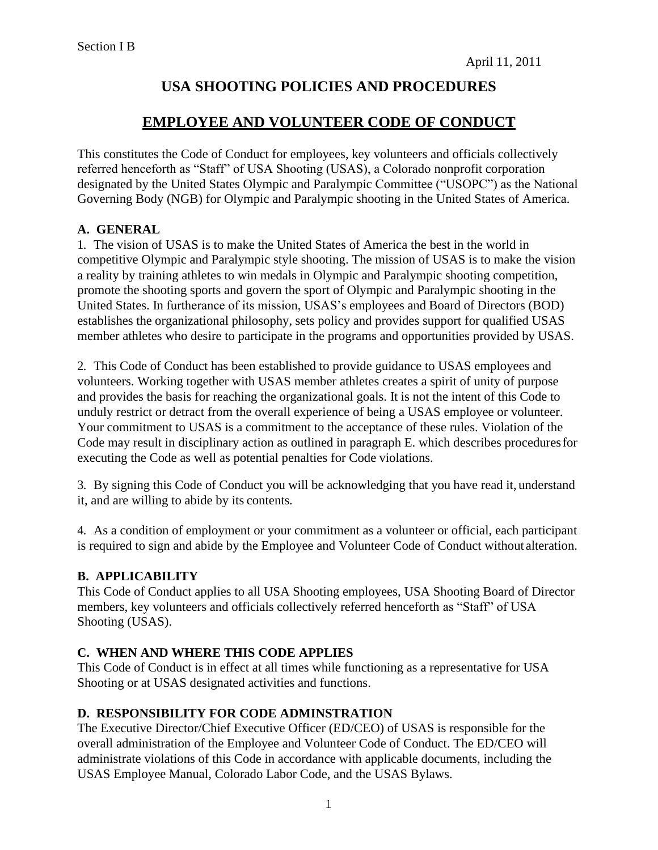# **USA SHOOTING POLICIES AND PROCEDURES**

## **EMPLOYEE AND VOLUNTEER CODE OF CONDUCT**

This constitutes the Code of Conduct for employees, key volunteers and officials collectively referred henceforth as "Staff" of USA Shooting (USAS), a Colorado nonprofit corporation designated by the United States Olympic and Paralympic Committee ("USOPC") as the National Governing Body (NGB) for Olympic and Paralympic shooting in the United States of America.

### **A. GENERAL**

1. The vision of USAS is to make the United States of America the best in the world in competitive Olympic and Paralympic style shooting. The mission of USAS is to make the vision a reality by training athletes to win medals in Olympic and Paralympic shooting competition, promote the shooting sports and govern the sport of Olympic and Paralympic shooting in the United States. In furtherance of its mission, USAS's employees and Board of Directors (BOD) establishes the organizational philosophy, sets policy and provides support for qualified USAS member athletes who desire to participate in the programs and opportunities provided by USAS.

2. This Code of Conduct has been established to provide guidance to USAS employees and volunteers. Working together with USAS member athletes creates a spirit of unity of purpose and provides the basis for reaching the organizational goals. It is not the intent of this Code to unduly restrict or detract from the overall experience of being a USAS employee or volunteer. Your commitment to USAS is a commitment to the acceptance of these rules. Violation of the Code may result in disciplinary action as outlined in paragraph E. which describes proceduresfor executing the Code as well as potential penalties for Code violations.

3. By signing this Code of Conduct you will be acknowledging that you have read it, understand it, and are willing to abide by its contents*.*

4. As a condition of employment or your commitment as a volunteer or official, each participant is required to sign and abide by the Employee and Volunteer Code of Conduct without alteration.

### **B. APPLICABILITY**

This Code of Conduct applies to all USA Shooting employees, USA Shooting Board of Director members, key volunteers and officials collectively referred henceforth as "Staff" of USA Shooting (USAS).

### **C. WHEN AND WHERE THIS CODE APPLIES**

This Code of Conduct is in effect at all times while functioning as a representative for USA Shooting or at USAS designated activities and functions.

#### **D. RESPONSIBILITY FOR CODE ADMINSTRATION**

The Executive Director/Chief Executive Officer (ED/CEO) of USAS is responsible for the overall administration of the Employee and Volunteer Code of Conduct. The ED/CEO will administrate violations of this Code in accordance with applicable documents, including the USAS Employee Manual, Colorado Labor Code, and the USAS Bylaws.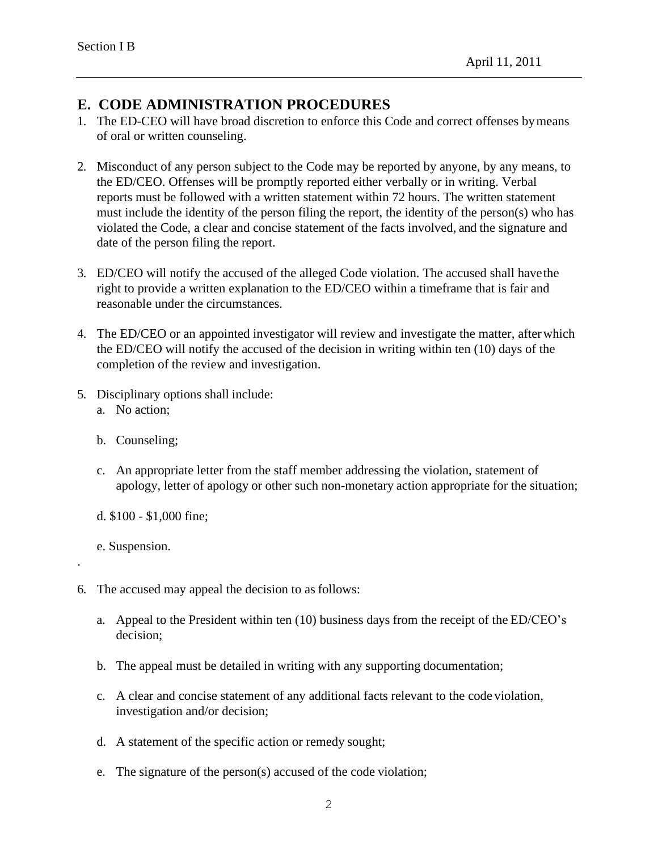## **E. CODE ADMINISTRATION PROCEDURES**

- 1. The ED-CEO will have broad discretion to enforce this Code and correct offenses bymeans of oral or written counseling.
- 2. Misconduct of any person subject to the Code may be reported by anyone, by any means, to the ED/CEO. Offenses will be promptly reported either verbally or in writing. Verbal reports must be followed with a written statement within 72 hours. The written statement must include the identity of the person filing the report, the identity of the person(s) who has violated the Code, a clear and concise statement of the facts involved, and the signature and date of the person filing the report.
- 3. ED/CEO will notify the accused of the alleged Code violation. The accused shall havethe right to provide a written explanation to the ED/CEO within a timeframe that is fair and reasonable under the circumstances.
- 4. The ED/CEO or an appointed investigator will review and investigate the matter, afterwhich the ED/CEO will notify the accused of the decision in writing within ten (10) days of the completion of the review and investigation.
- 5. Disciplinary options shall include:
	- a. No action;
	- b. Counseling;
	- c. An appropriate letter from the staff member addressing the violation, statement of apology, letter of apology or other such non-monetary action appropriate for the situation;
	- d. \$100 \$1,000 fine;
	- e. Suspension.

.

- 6. The accused may appeal the decision to as follows:
	- a. Appeal to the President within ten (10) business days from the receipt of the ED/CEO's decision;
	- b. The appeal must be detailed in writing with any supporting documentation;
	- c. A clear and concise statement of any additional facts relevant to the code violation, investigation and/or decision;
	- d. A statement of the specific action or remedy sought;
	- e. The signature of the person(s) accused of the code violation;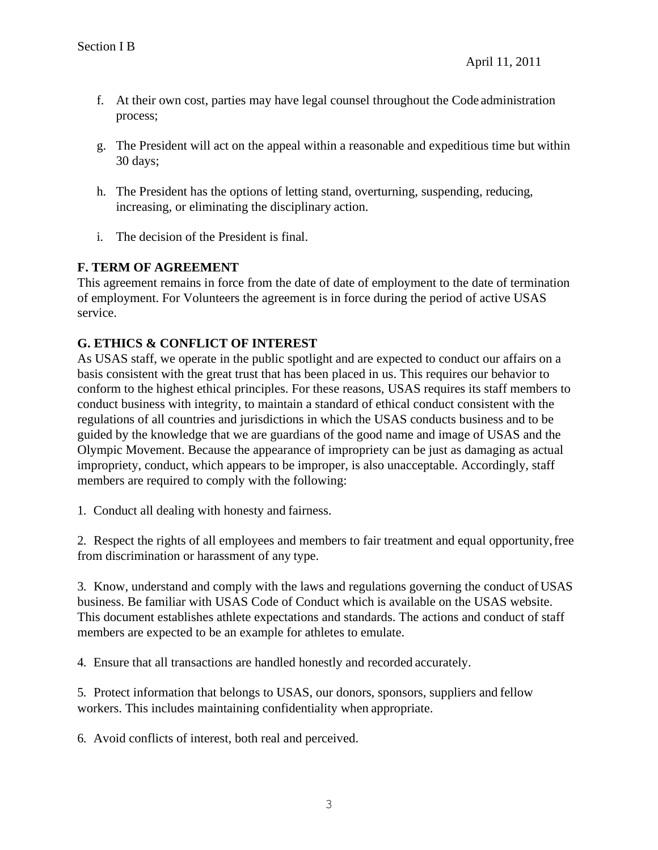- f. At their own cost, parties may have legal counsel throughout the Code administration process;
- g. The President will act on the appeal within a reasonable and expeditious time but within 30 days;
- h. The President has the options of letting stand, overturning, suspending, reducing, increasing, or eliminating the disciplinary action.
- i. The decision of the President is final.

### **F. TERM OF AGREEMENT**

This agreement remains in force from the date of date of employment to the date of termination of employment. For Volunteers the agreement is in force during the period of active USAS service.

### **G. ETHICS & CONFLICT OF INTEREST**

As USAS staff, we operate in the public spotlight and are expected to conduct our affairs on a basis consistent with the great trust that has been placed in us. This requires our behavior to conform to the highest ethical principles. For these reasons, USAS requires its staff members to conduct business with integrity, to maintain a standard of ethical conduct consistent with the regulations of all countries and jurisdictions in which the USAS conducts business and to be guided by the knowledge that we are guardians of the good name and image of USAS and the Olympic Movement. Because the appearance of impropriety can be just as damaging as actual impropriety, conduct, which appears to be improper, is also unacceptable. Accordingly, staff members are required to comply with the following:

1. Conduct all dealing with honesty and fairness.

2. Respect the rights of all employees and members to fair treatment and equal opportunity,free from discrimination or harassment of any type.

3. Know, understand and comply with the laws and regulations governing the conduct of USAS business. Be familiar with USAS Code of Conduct which is available on the USAS website. This document establishes athlete expectations and standards. The actions and conduct of staff members are expected to be an example for athletes to emulate.

4. Ensure that all transactions are handled honestly and recorded accurately.

5. Protect information that belongs to USAS, our donors, sponsors, suppliers and fellow workers. This includes maintaining confidentiality when appropriate.

6. Avoid conflicts of interest, both real and perceived.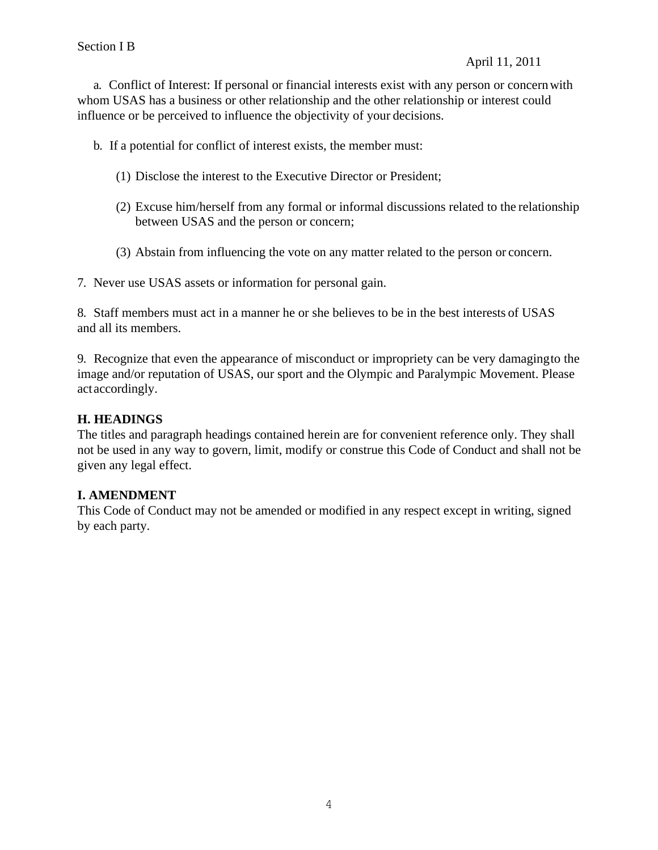a. Conflict of Interest: If personal or financial interests exist with any person or concernwith whom USAS has a business or other relationship and the other relationship or interest could influence or be perceived to influence the objectivity of your decisions.

b. If a potential for conflict of interest exists, the member must:

- (1) Disclose the interest to the Executive Director or President;
- (2) Excuse him/herself from any formal or informal discussions related to the relationship between USAS and the person or concern;
- (3) Abstain from influencing the vote on any matter related to the person or concern.

7. Never use USAS assets or information for personal gain.

8. Staff members must act in a manner he or she believes to be in the best interests of USAS and all its members.

9. Recognize that even the appearance of misconduct or impropriety can be very damagingto the image and/or reputation of USAS, our sport and the Olympic and Paralympic Movement. Please actaccordingly.

## **H. HEADINGS**

The titles and paragraph headings contained herein are for convenient reference only. They shall not be used in any way to govern, limit, modify or construe this Code of Conduct and shall not be given any legal effect.

## **I. AMENDMENT**

This Code of Conduct may not be amended or modified in any respect except in writing, signed by each party.